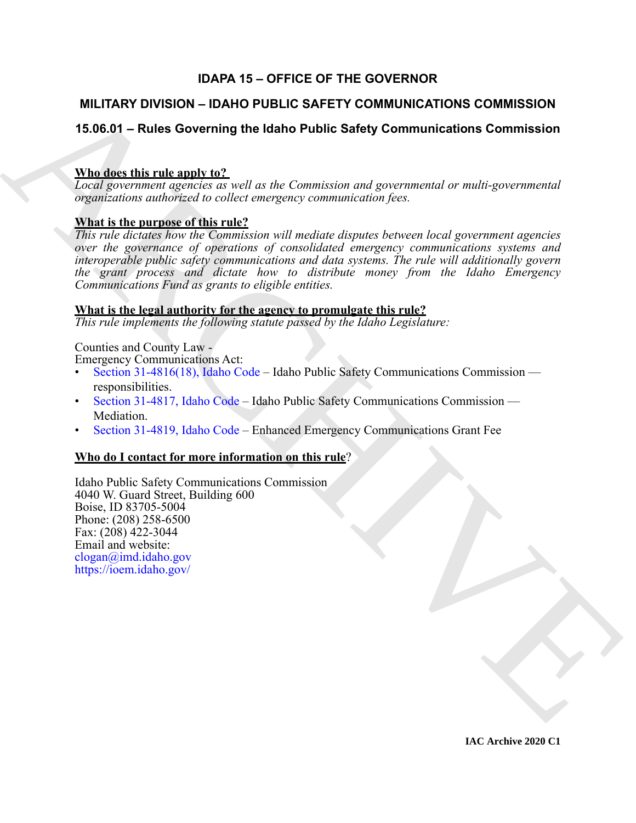# **IDAPA 15 – OFFICE OF THE GOVERNOR**

# **MILITARY DIVISION – IDAHO PUBLIC SAFETY COMMUNICATIONS COMMISSION**

# **15.06.01 – Rules Governing the Idaho Public Safety Communications Commission**

# **Who does this rule apply to?**

*Local government agencies as well as the Commission and governmental or multi-governmental organizations authorized to collect emergency communication fees.*

# **What is the purpose of this rule?**

M[I](mailto:bcall@imd.idaho.gov)LITARY DIVISION – IDANO PUBLIC SAFETY COMMUNICATIONS COMMISSION<br>
15.06.01 – Rules Governing the Idaho Public Safety Communications Commission<br>
Traditional generation and the construction and generation and generation an *This rule dictates how the Commission will mediate disputes between local government agencies over the governance of operations of consolidated emergency communications systems and interoperable public safety communications and data systems. The rule will additionally govern the grant process and dictate how to distribute money from the Idaho Emergency Communications Fund as grants to eligible entities.*

# **What is the legal authority for the agency to promulgate this rule?**

*This rule implements the following statute passed by the Idaho Legislature:*

# Counties and County Law -

Emergency Communications Act:

- Section 31-4816(18), Idaho Code Idaho Public Safety Communications Commission responsibilities.
- Section 31-4817, Idaho Code Idaho Public Safety Communications Commission Mediation.
- Section 31-4819, Idaho Code Enhanced Emergency Communications Grant Fee

# **Who do I contact for more information on this rule**?

Idaho Public Safety Communications Commission 4040 W. Guard Street, Building 600 Boise, ID 83705-5004 Phone: (208) 258-6500 Fax: (208) 422-3044 Email and website: clogan@imd.idaho.gov https://ioem.idaho.gov/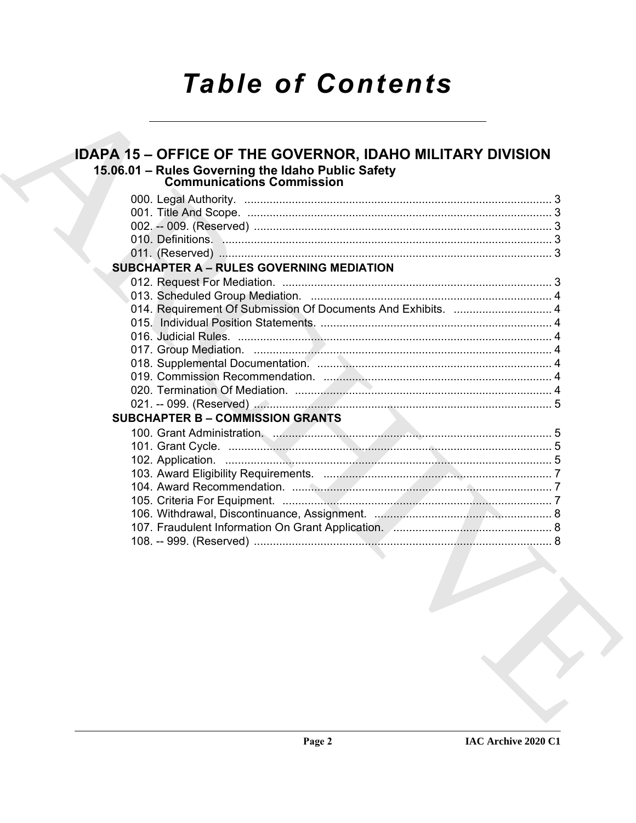# **Table of Contents**

| <b>IDAPA 15 – OFFICE OF THE GOVERNOR, IDAHO MILITARY DIVISION</b>                                               |  |
|-----------------------------------------------------------------------------------------------------------------|--|
| 15.06.01 - Rules Governing the Idaho Public Safety                                                              |  |
| <b>Communications Commission</b>                                                                                |  |
|                                                                                                                 |  |
|                                                                                                                 |  |
|                                                                                                                 |  |
|                                                                                                                 |  |
|                                                                                                                 |  |
| <b>SUBCHAPTER A - RULES GOVERNING MEDIATION</b>                                                                 |  |
|                                                                                                                 |  |
|                                                                                                                 |  |
| 014. Requirement Of Submission Of Documents And Exhibits.  4                                                    |  |
|                                                                                                                 |  |
|                                                                                                                 |  |
|                                                                                                                 |  |
|                                                                                                                 |  |
|                                                                                                                 |  |
|                                                                                                                 |  |
|                                                                                                                 |  |
| <b>SUBCHAPTER B - COMMISSION GRANTS</b>                                                                         |  |
|                                                                                                                 |  |
|                                                                                                                 |  |
|                                                                                                                 |  |
|                                                                                                                 |  |
|                                                                                                                 |  |
|                                                                                                                 |  |
|                                                                                                                 |  |
|                                                                                                                 |  |
| the contract of the contract of the contract of the contract of the contract of the contract of the contract of |  |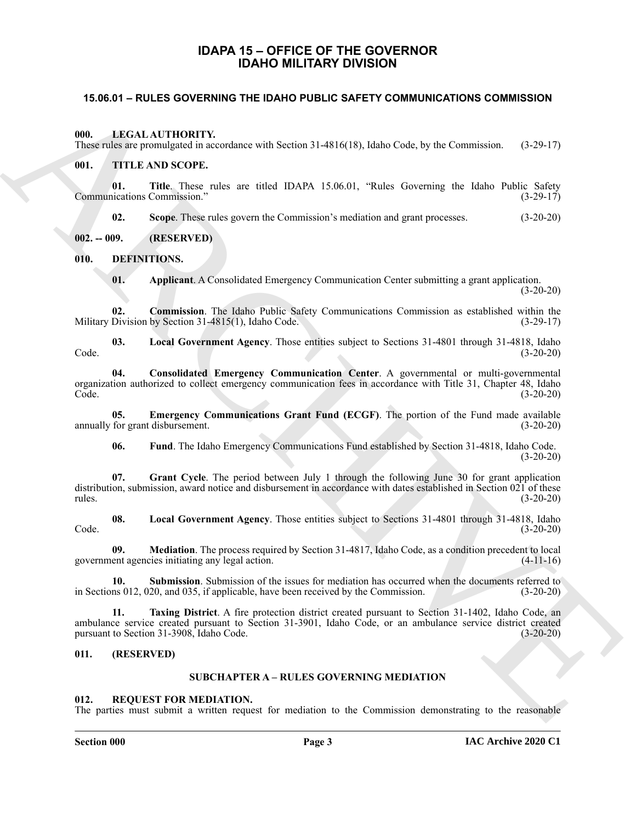# **IDAPA 15 – OFFICE OF THE GOVERNOR IDAHO MILITARY DIVISION**

#### <span id="page-2-1"></span><span id="page-2-0"></span>**15.06.01 – RULES GOVERNING THE IDAHO PUBLIC SAFETY COMMUNICATIONS COMMISSION**

#### <span id="page-2-20"></span><span id="page-2-2"></span>**000. LEGAL AUTHORITY.**

These rules are promulgated in accordance with Section 31-4816(18), Idaho Code, by the Commission. (3-29-17)

#### <span id="page-2-22"></span><span id="page-2-3"></span>**001. TITLE AND SCOPE.**

**01. Title**. These rules are titled IDAPA 15.06.01, "Rules Governing the Idaho Public Safety Communications Commission." (3-29-17)

**02. Scope**. These rules govern the Commission's mediation and grant processes. (3-20-20)

<span id="page-2-4"></span>**002. -- 009. (RESERVED)**

<span id="page-2-5"></span>**010. DEFINITIONS.**

<span id="page-2-16"></span><span id="page-2-11"></span><span id="page-2-10"></span><span id="page-2-9"></span>**01. Applicant**. A Consolidated Emergency Communication Center submitting a grant application. (3-20-20)

**02. Commission**. The Idaho Public Safety Communications Commission as established within the Division by Section 31-4815(1), Idaho Code. (3-29-17) Military Division by Section  $31-4815(1)$ , Idaho Code.

**03. Local Government Agency**. Those entities subject to Sections 31-4801 through 31-4818, Idaho Code. (3-20-20)

<span id="page-2-12"></span>**04. Consolidated Emergency Communication Center**. A governmental or multi-governmental organization authorized to collect emergency communication fees in accordance with Title 31, Chapter 48, Idaho Code. (3-20-20)

**05. Emergency Communications Grant Fund (ECGF)**. The portion of the Fund made available annually for grant disbursement. (3-20-20)

<span id="page-2-15"></span><span id="page-2-14"></span><span id="page-2-13"></span>**06. Fund**. The Idaho Emergency Communications Fund established by Section 31-4818, Idaho Code. (3-20-20)

**07. Grant Cycle**. The period between July 1 through the following June 30 for grant application distribution, submission, award notice and disbursement in accordance with dates established in Section 021 of these rules. (3-20-20)

**08. Local Government Agency**. Those entities subject to Sections 31-4801 through 31-4818, Idaho Code. (3-20-20)

<span id="page-2-17"></span>**09. Mediation**. The process required by Section 31-4817, Idaho Code, as a condition precedent to local government agencies initiating any legal action. (4-11-16)

<span id="page-2-19"></span><span id="page-2-18"></span>**10. Submission**. Submission of the issues for mediation has occurred when the documents referred to in Sections 012, 020, and 035, if applicable, have been received by the Commission. (3-20-20)

**15.06.01 - RULES GOVERNING THE IDANO PUBLIC SAFETY COMMUNICATIONS COMMISSION**<br>
16. IEEN LATTIFORTY.<br>
Thus calculate power produces with Section 11.4516(18), false Contenting the Islam (200-17)<br>
16. The Theoretical maceuv **11. Taxing District**. A fire protection district created pursuant to Section 31-1402, Idaho Code, an ambulance service created pursuant to Section 31-3901, Idaho Code, or an ambulance service district created pursuant to Section 31-3908, Idaho Code.

#### <span id="page-2-7"></span><span id="page-2-6"></span>**011. (RESERVED)**

### **SUBCHAPTER A – RULES GOVERNING MEDIATION**

#### <span id="page-2-21"></span><span id="page-2-8"></span>**012. REQUEST FOR MEDIATION.**

The parties must submit a written request for mediation to the Commission demonstrating to the reasonable

#### **Section 000 Page 3**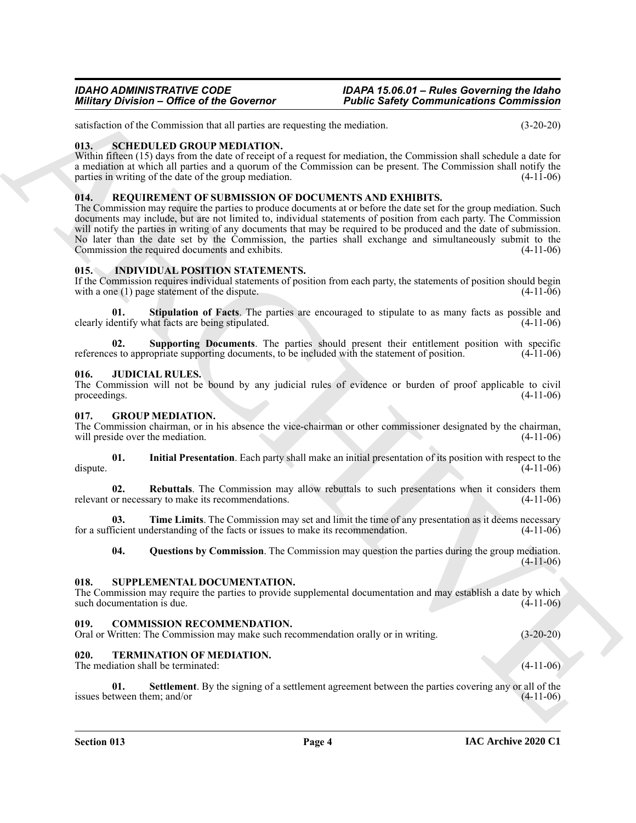satisfaction of the Commission that all parties are requesting the mediation. (3-20-20)

#### <span id="page-3-19"></span><span id="page-3-0"></span>**013. SCHEDULED GROUP MEDIATION.**

Within fifteen (15) days from the date of receipt of a request for mediation, the Commission shall schedule a date for a mediation at which all parties and a quorum of the Commission can be present. The Commission shall notify the parties in writing of the date of the group mediation. (4-11-06)

#### <span id="page-3-18"></span><span id="page-3-1"></span>**014. REQUIREMENT OF SUBMISSION OF DOCUMENTS AND EXHIBITS.**

Minitary Division - Office of the Governor<br>
The filest state of the Governor<br>
The filest state of the Social System and periodic state is understand to the social System and Commission and System and System and System and The Commission may require the parties to produce documents at or before the date set for the group mediation. Such documents may include, but are not limited to, individual statements of position from each party. The Commission will notify the parties in writing of any documents that may be required to be produced and the date of submission. No later than the date set by the Commission, the parties shall exchange and simultaneously submit to the Commission the required documents and exhibits. (4-11-06) Commission the required documents and exhibits.

#### <span id="page-3-14"></span><span id="page-3-2"></span>**015. INDIVIDUAL POSITION STATEMENTS.**

If the Commission requires individual statements of position from each party, the statements of position should begin with a one (1) page statement of the dispute. (4-11-06) with a one  $(1)$  page statement of the dispute.

<span id="page-3-15"></span>**Stipulation of Facts**. The parties are encouraged to stipulate to as many facts as possible and hat facts are being stipulated. (4-11-06) clearly identify what facts are being stipulated.

<span id="page-3-16"></span>**02.** Supporting Documents. The parties should present their entitlement position with specific s to appropriate supporting documents, to be included with the statement of position. (4-11-06) references to appropriate supporting documents, to be included with the statement of position.

#### <span id="page-3-17"></span><span id="page-3-3"></span>**016. JUDICIAL RULES.**

The Commission will not be bound by any judicial rules of evidence or burden of proof applicable to civil proceedings.  $(4-11-06)$ 

#### <span id="page-3-9"></span><span id="page-3-4"></span>**017. GROUP MEDIATION.**

The Commission chairman, or in his absence the vice-chairman or other commissioner designated by the chairman, will preside over the mediation. (4-11-06) will preside over the mediation.

<span id="page-3-10"></span>**01. Initial Presentation**. Each party shall make an initial presentation of its position with respect to the dispute. (4-11-06)

<span id="page-3-12"></span>**02. Rebuttals**. The Commission may allow rebuttals to such presentations when it considers them relevant or necessary to make its recommendations. (4-11-06)

**03.** Time Limits. The Commission may set and limit the time of any presentation as it deems necessary ficient understanding of the facts or issues to make its recommendation. (4-11-06) for a sufficient understanding of the facts or issues to make its recommendation.

<span id="page-3-20"></span><span id="page-3-13"></span><span id="page-3-11"></span>**04. Questions by Commission**. The Commission may question the parties during the group mediation. (4-11-06)

#### <span id="page-3-5"></span>**018. SUPPLEMENTAL DOCUMENTATION.**

The Commission may require the parties to provide supplemental documentation and may establish a date by which such documentation is due. (4-11-06)

#### <span id="page-3-8"></span><span id="page-3-6"></span>**019. COMMISSION RECOMMENDATION.**

Oral or Written: The Commission may make such recommendation orally or in writing. (3-20-20)

#### <span id="page-3-21"></span><span id="page-3-7"></span>**020. TERMINATION OF MEDIATION.**

The mediation shall be terminated: (4-11-06)

<span id="page-3-22"></span>**01.** Settlement. By the signing of a settlement agreement between the parties covering any or all of the tween them; and/or (4-11-06) issues between them; and/or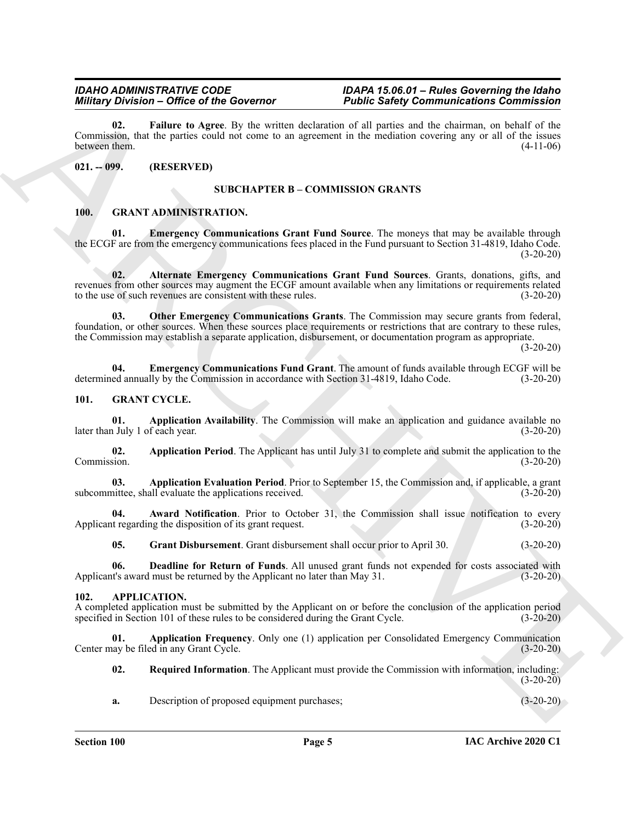*IDAHO ADMINISTRATIVE CODE IDAPA 15.06.01 – Rules Governing the Idaho Public Safety Communications Commission* 

<span id="page-4-20"></span>**02. Failure to Agree**. By the written declaration of all parties and the chairman, on behalf of the Commission, that the parties could not come to an agreement in the mediation covering any or all of the issues between them.  $(4-11-06)$ 

#### <span id="page-4-1"></span><span id="page-4-0"></span>**021. -- 099. (RESERVED)**

#### <span id="page-4-11"></span>**SUBCHAPTER B – COMMISSION GRANTS**

#### <span id="page-4-8"></span><span id="page-4-2"></span>**100. GRANT ADMINISTRATION.**

**01. Emergency Communications Grant Fund Source**. The moneys that may be available through the ECGF are from the emergency communications fees placed in the Fund pursuant to Section 31-4819, Idaho Code.  $(3-20-20)$ 

<span id="page-4-12"></span><span id="page-4-9"></span>**02. Alternate Emergency Communications Grant Fund Sources**. Grants, donations, gifts, and revenues from other sources may augment the ECGF amount available when any limitations or requirements related to the use of such revenues are consistent with these rules. (3-20-20)

Minitary Distribution of the Governor<br>
Contribution of the Concerning Contribution of the Scheme of the Scheme of the Scheme of the Scheme of the Scheme of the Scheme of the Scheme of the Scheme of the Scheme of the Schem **03. Other Emergency Communications Grants**. The Commission may secure grants from federal, foundation, or other sources. When these sources place requirements or restrictions that are contrary to these rules, the Commission may establish a separate application, disbursement, or documentation program as appropriate.

(3-20-20)

<span id="page-4-10"></span>**04. Emergency Communications Fund Grant**. The amount of funds available through ECGF will be determined annually by the Commission in accordance with Section 31-4819, Idaho Code. (3-20-20)

#### <span id="page-4-13"></span><span id="page-4-3"></span>**101. GRANT CYCLE.**

<span id="page-4-14"></span>**01. Application Availability**. The Commission will make an application and guidance available no later than July 1 of each year. (3-20-20)

<span id="page-4-16"></span>**02.** Application Period. The Applicant has until July 31 to complete and submit the application to the Commission. (3-20-20) Commission. (3-20-20)

<span id="page-4-15"></span>**03. Application Evaluation Period**. Prior to September 15, the Commission and, if applicable, a grant subcommittee, shall evaluate the applications received. (3-20-20)

**04. Award Notification**. Prior to October 31, the Commission shall issue notification to every it regarding the disposition of its grant request. (3-20-20) Applicant regarding the disposition of its grant request.

<span id="page-4-19"></span><span id="page-4-18"></span><span id="page-4-17"></span>**05. Grant Disbursement**. Grant disbursement shall occur prior to April 30. (3-20-20)

**06. Deadline for Return of Funds**. All unused grant funds not expended for costs associated with Applicant's award must be returned by the Applicant no later than May 31. (3-20-20)

#### <span id="page-4-5"></span><span id="page-4-4"></span>**102. APPLICATION.**

A completed application must be submitted by the Applicant on or before the conclusion of the application period specified in Section 101 of these rules to be considered during the Grant Cycle. (3-20-20) specified in Section 101 of these rules to be considered during the Grant Cycle.

**01. Application Frequency**. Only one (1) application per Consolidated Emergency Communication Center may be filed in any Grant Cycle. (3-20-20)

<span id="page-4-7"></span><span id="page-4-6"></span>**02. Required Information**. The Applicant must provide the Commission with information, including:  $(3-20-20)$ 

**a.** Description of proposed equipment purchases; (3-20-20)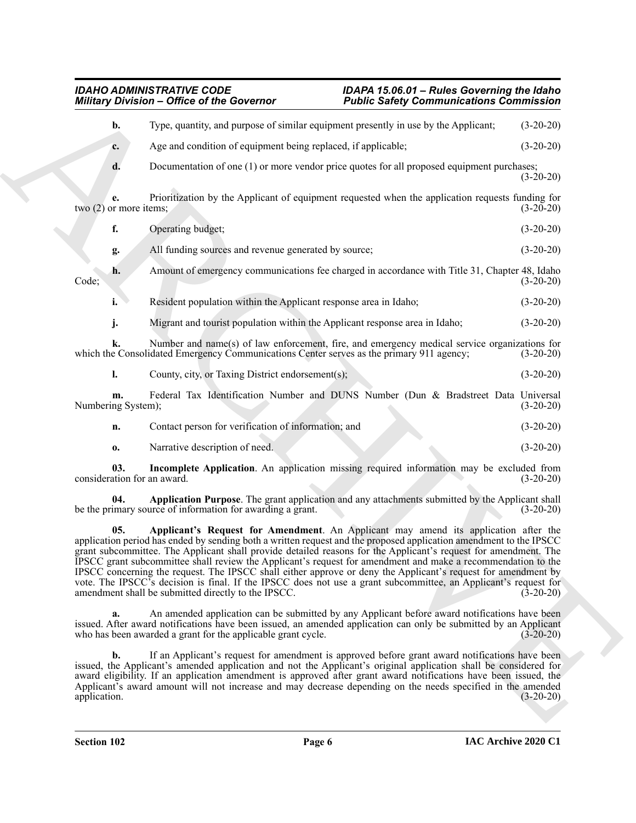# <span id="page-5-2"></span><span id="page-5-1"></span><span id="page-5-0"></span>*IDAHO ADMINISTRATIVE CODE IDAPA 15.06.01 – Rules Governing the Idaho Military Division – Office of the Governor Public Safety Communications Commission*

|                                    | <b>Military Division - Office of the Governor</b>                                                           | <b>Public Safety Communications Commission</b>                                                                                                                                                                                                                                                                                                                                                                                                                                                                                                                                                                                                                                   |             |
|------------------------------------|-------------------------------------------------------------------------------------------------------------|----------------------------------------------------------------------------------------------------------------------------------------------------------------------------------------------------------------------------------------------------------------------------------------------------------------------------------------------------------------------------------------------------------------------------------------------------------------------------------------------------------------------------------------------------------------------------------------------------------------------------------------------------------------------------------|-------------|
| b.                                 |                                                                                                             | Type, quantity, and purpose of similar equipment presently in use by the Applicant;                                                                                                                                                                                                                                                                                                                                                                                                                                                                                                                                                                                              | $(3-20-20)$ |
| c.                                 | Age and condition of equipment being replaced, if applicable;                                               |                                                                                                                                                                                                                                                                                                                                                                                                                                                                                                                                                                                                                                                                                  | $(3-20-20)$ |
| d.                                 |                                                                                                             | Documentation of one (1) or more vendor price quotes for all proposed equipment purchases;                                                                                                                                                                                                                                                                                                                                                                                                                                                                                                                                                                                       | $(3-20-20)$ |
| two $(2)$ or more items;           |                                                                                                             | Prioritization by the Applicant of equipment requested when the application requests funding for                                                                                                                                                                                                                                                                                                                                                                                                                                                                                                                                                                                 | $(3-20-20)$ |
| f.                                 | Operating budget;                                                                                           |                                                                                                                                                                                                                                                                                                                                                                                                                                                                                                                                                                                                                                                                                  | $(3-20-20)$ |
| g.                                 | All funding sources and revenue generated by source;                                                        |                                                                                                                                                                                                                                                                                                                                                                                                                                                                                                                                                                                                                                                                                  | $(3-20-20)$ |
| h.<br>Code;                        |                                                                                                             | Amount of emergency communications fee charged in accordance with Title 31, Chapter 48, Idaho                                                                                                                                                                                                                                                                                                                                                                                                                                                                                                                                                                                    | $(3-20-20)$ |
| i.                                 | Resident population within the Applicant response area in Idaho;                                            |                                                                                                                                                                                                                                                                                                                                                                                                                                                                                                                                                                                                                                                                                  | $(3-20-20)$ |
| j.                                 | Migrant and tourist population within the Applicant response area in Idaho;                                 |                                                                                                                                                                                                                                                                                                                                                                                                                                                                                                                                                                                                                                                                                  | $(3-20-20)$ |
| k.                                 | which the Consolidated Emergency Communications Center serves as the primary 911 agency;                    | Number and name(s) of law enforcement, fire, and emergency medical service organizations for                                                                                                                                                                                                                                                                                                                                                                                                                                                                                                                                                                                     | $(3-20-20)$ |
| 1.                                 | County, city, or Taxing District endorsement(s);                                                            |                                                                                                                                                                                                                                                                                                                                                                                                                                                                                                                                                                                                                                                                                  | $(3-20-20)$ |
| m.<br>Numbering System);           |                                                                                                             | Federal Tax Identification Number and DUNS Number (Dun & Bradstreet Data Universal                                                                                                                                                                                                                                                                                                                                                                                                                                                                                                                                                                                               | $(3-20-20)$ |
| n.                                 | Contact person for verification of information; and                                                         |                                                                                                                                                                                                                                                                                                                                                                                                                                                                                                                                                                                                                                                                                  | $(3-20-20)$ |
| 0.                                 | Narrative description of need.                                                                              |                                                                                                                                                                                                                                                                                                                                                                                                                                                                                                                                                                                                                                                                                  | $(3-20-20)$ |
| 03.<br>consideration for an award. |                                                                                                             | Incomplete Application. An application missing required information may be excluded from                                                                                                                                                                                                                                                                                                                                                                                                                                                                                                                                                                                         | $(3-20-20)$ |
| 04.                                | be the primary source of information for awarding a grant.                                                  | Application Purpose. The grant application and any attachments submitted by the Applicant shall                                                                                                                                                                                                                                                                                                                                                                                                                                                                                                                                                                                  | $(3-20-20)$ |
| 05.                                | amendment shall be submitted directly to the IPSCC.                                                         | Applicant's Request for Amendment. An Applicant may amend its application after the<br>application period has ended by sending both a written request and the proposed application amendment to the IPSCC<br>grant subcommittee. The Applicant shall provide detailed reasons for the Applicant's request for amendment. The<br>IPSCC grant subcommittee shall review the Applicant's request for amendment and make a recommendation to the<br>IPSCC concerning the request. The IPSCC shall either approve or deny the Applicant's request for amendment by<br>vote. The IPSCC's decision is final. If the IPSCC does not use a grant subcommittee, an Applicant's request for | $(3-20-20)$ |
| a.                                 | who has been awarded a grant for the applicable grant cycle.                                                | An amended application can be submitted by any Applicant before award notifications have been<br>issued. After award notifications have been issued, an amended application can only be submitted by an Applicant                                                                                                                                                                                                                                                                                                                                                                                                                                                                | $(3-20-20)$ |
| b.                                 |                                                                                                             | If an Applicant's request for amendment is approved before grant award notifications have been<br>issued, the Applicant's amended application and not the Applicant's original application shall be considered for<br>award eligibility. If an application amendment is approved after grant award notifications have been issued, the                                                                                                                                                                                                                                                                                                                                           |             |
| application.                       | Applicant's award amount will not increase and may decrease depending on the needs specified in the amended |                                                                                                                                                                                                                                                                                                                                                                                                                                                                                                                                                                                                                                                                                  | $(3-20-20)$ |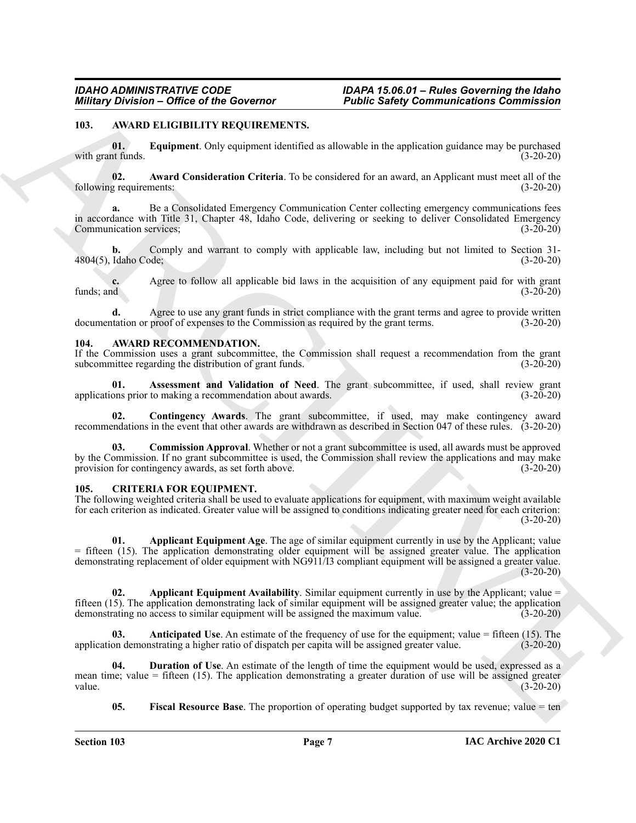#### <span id="page-6-5"></span><span id="page-6-3"></span><span id="page-6-0"></span>**103. AWARD ELIGIBILITY REQUIREMENTS.**

**01. Equipment**. Only equipment identified as allowable in the application guidance may be purchased with grant funds. (3-20-20)

<span id="page-6-4"></span>**02. Award Consideration Criteria**. To be considered for an award, an Applicant must meet all of the following requirements:

**a.** Be a Consolidated Emergency Communication Center collecting emergency communications fees in accordance with Title 31, Chapter 48, Idaho Code, delivering or seeking to deliver Consolidated Emergency<br>Communication services; (3-20-20) Communication services;

**b.** Comply and warrant to comply with applicable law, including but not limited to Section 31-4804(5), Idaho Code; (3-20-20)

**c.** Agree to follow all applicable bid laws in the acquisition of any equipment paid for with grant funds; and  $(3-20-20)$ funds; and  $(3-20-20)$ 

**d.** Agree to use any grant funds in strict compliance with the grant terms and agree to provide written documentation or proof of expenses to the Commission as required by the grant terms. (3-20-20)

#### <span id="page-6-6"></span><span id="page-6-1"></span>**104. AWARD RECOMMENDATION.**

If the Commission uses a grant subcommittee, the Commission shall request a recommendation from the grant subcommittee regarding the distribution of grant funds. (3-20-20) (3-20-20)

<span id="page-6-7"></span>**01. Assessment and Validation of Need**. The grant subcommittee, if used, shall review grant applications prior to making a recommendation about awards. (3-20-20)

<span id="page-6-9"></span>**02. Contingency Awards**. The grant subcommittee, if used, may make contingency award recommendations in the event that other awards are withdrawn as described in Section 047 of these rules. (3-20-20)

<span id="page-6-8"></span>**03. Commission Approval**. Whether or not a grant subcommittee is used, all awards must be approved by the Commission. If no grant subcommittee is used, the Commission shall review the applications and may make provision for contingency awards, as set forth above. (3-20-20)

#### <span id="page-6-10"></span><span id="page-6-2"></span>**105. CRITERIA FOR EQUIPMENT.**

<span id="page-6-12"></span>The following weighted criteria shall be used to evaluate applications for equipment, with maximum weight available for each criterion as indicated. Greater value will be assigned to conditions indicating greater need for each criterion:  $(3-20-20)$ 

Minitary Division - Office of the Governor<br>
10.000 Solvey Communications Communications Communications 10.000 Solvey Communications Commission<br>
10.000 Solvey Communications (a) the communication of the application spin an **01.** Applicant Equipment Age. The age of similar equipment currently in use by the Applicant; value = fifteen (15). The application demonstrating older equipment will be assigned greater value. The application demonstrating replacement of older equipment with NG911/I3 compliant equipment will be assigned a greater value.  $(3-20-20)$ 

<span id="page-6-13"></span>**02.** Applicant Equipment Availability. Similar equipment currently in use by the Applicant; value = fifteen (15). The application demonstrating lack of similar equipment will be assigned greater value; the application demonstrating no access to similar equipment will be assigned the maximum value. (3-20-20)

<span id="page-6-11"></span>**03. Anticipated Use**. An estimate of the frequency of use for the equipment; value = fifteen (15). The application demonstrating a higher ratio of dispatch per capita will be assigned greater value. (3-20-20)

**04. Duration of Use**. An estimate of the length of time the equipment would be used, expressed as a mean time; value = fifteen (15). The application demonstrating a greater duration of use will be assigned greater value.  $(3-20-20)$ value. (3-20-20)

<span id="page-6-15"></span><span id="page-6-14"></span>**05. Fiscal Resource Base**. The proportion of operating budget supported by tax revenue; value = ten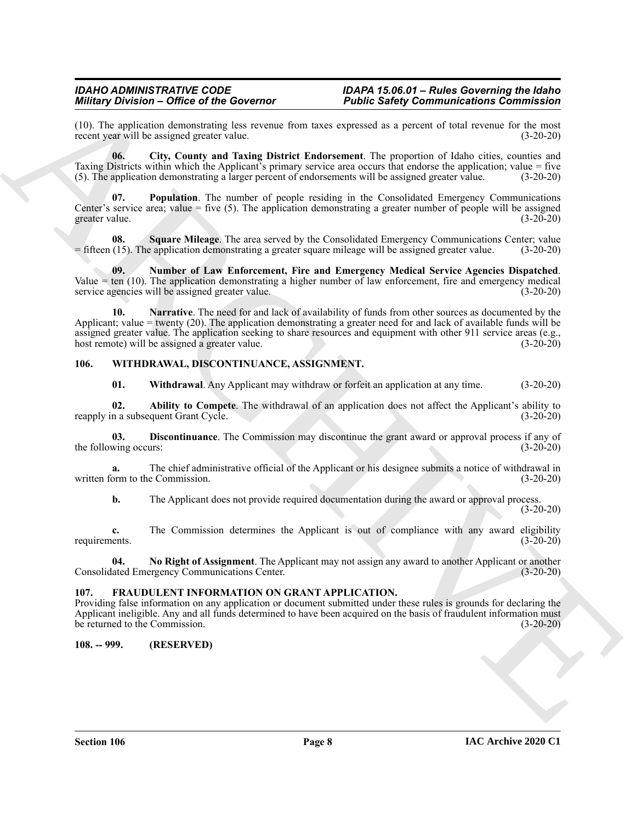(10). The application demonstrating less revenue from taxes expressed as a percent of total revenue for the most recent year will be assigned greater value.  $(3-20-20)$ recent year will be assigned greater value.

<span id="page-7-3"></span>**06. City, County and Taxing District Endorsement**. The proportion of Idaho cities, counties and Taxing Districts within which the Applicant's primary service area occurs that endorse the application; value = five (5). The application demonstrating a larger percent of endorsements will be assigned greater value. (3-20-20)

<span id="page-7-6"></span>**07. Population**. The number of people residing in the Consolidated Emergency Communications Center's service area; value  $=$  five (5). The application demonstrating a greater number of people will be assigned greater value. (3-20-20)

<span id="page-7-7"></span>**08.** Square Mileage. The area served by the Consolidated Emergency Communications Center; value (15). The application demonstrating a greater square mileage will be assigned greater value. (3-20-20)  $=$  fifteen (15). The application demonstrating a greater square mileage will be assigned greater value.

<span id="page-7-5"></span><span id="page-7-4"></span>**09. Number of Law Enforcement, Fire and Emergency Medical Service Agencies Dispatched**. Value = ten (10). The application demonstrating a higher number of law enforcement, fire and emergency medical service agencies will be assigned greater value.  $(3-20-20)$ service agencies will be assigned greater value.

Minit provides of the Governor<br>
(19). The replies of the Governor<br>
North Safety Communications Communications<br>
New Higher Although the City Count and Taxas plane Barket Easterosman at European on City County and<br>
The City **10. Narrative**. The need for and lack of availability of funds from other sources as documented by the Applicant; value = twenty (20). The application demonstrating a greater need for and lack of available funds will be assigned greater value. The application seeking to share resources and equipment with other 911 service areas (e.g., host remote) will be assigned a greater value. (3-20-20) host remote) will be assigned a greater value.

#### <span id="page-7-0"></span>**106. WITHDRAWAL, DISCONTINUANCE, ASSIGNMENT.**

<span id="page-7-13"></span><span id="page-7-11"></span><span id="page-7-10"></span><span id="page-7-9"></span>**01. Withdrawal**. Any Applicant may withdraw or forfeit an application at any time. (3-20-20)

**02.** Ability to Compete. The withdrawal of an application does not affect the Applicant's ability to n a subsequent Grant Cycle. (3-20-20) reapply in a subsequent Grant Cycle.

**03. Discontinuance**. The Commission may discontinue the grant award or approval process if any of the following occurs: (3-20-20)

**a.** The chief administrative official of the Applicant or his designee submits a notice of withdrawal in orm to the Commission. (3-20-20) written form to the Commission.

<span id="page-7-12"></span>**b.** The Applicant does not provide required documentation during the award or approval process. (3-20-20)

**c.** The Commission determines the Applicant is out of compliance with any award eligibility ents. (3-20-20) requirements. (3-20-20)

**04.** No Right of Assignment. The Applicant may not assign any award to another Applicant or another lated Emergency Communications Center. (3-20-20) Consolidated Emergency Communications Center.

#### <span id="page-7-8"></span><span id="page-7-1"></span>**107. FRAUDULENT INFORMATION ON GRANT APPLICATION.**

Providing false information on any application or document submitted under these rules is grounds for declaring the Applicant ineligible. Any and all funds determined to have been acquired on the basis of fraudulent information must be returned to the Commission. (3-20-20)

### <span id="page-7-2"></span>**108. -- 999. (RESERVED)**